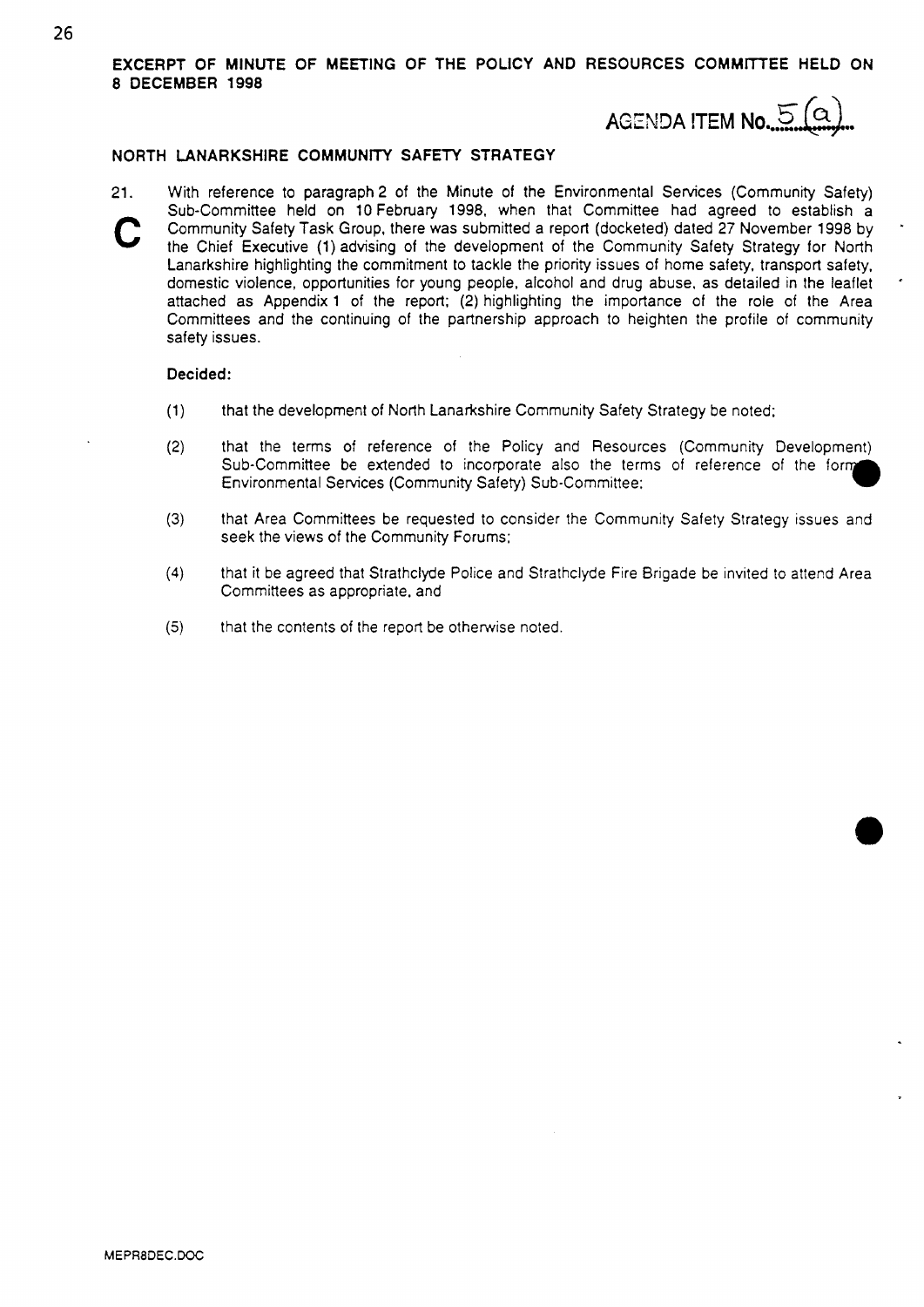**EXCERPT OF MINUTE OF MEETING OF THE POLICY AND RESOURCES COMMRTEE HELD ON 8 DECEMBER 1998** 

## **AGENDA ITEM No...**

\*

'

### **NORTH LANARKSHIRE COMMUNITY SAFETY STRATEGY**

21. With reference to paragraph 2 of the Minute of the Environmental Services (Community Safety) Sub-Committee held on 10 February 1998, when that Committee had agreed to establish a Community Safety Task Group, there was submitted a report (docketed) dated 27 November 1998 by the Chief Executive (1) advising of the development of the Community Safety Strategy for North Lanarkshire highlighting the commitment to tackle the priority issues of home safety, transport safety, domestic violence, opportunities for young people. alcohol and drug abuse, as detailed in the leaflet attached **as** Appendix 1 of the report; **(2)** highlighting the importance of the role of the Area Committees and the continuing of the partnership approach to heighten the profile of community safety issues.

### **Decided:**

- (1) that the development *of* North Lanarkshire Community Safety Strategy be noted;
- **(2)** that the terms of reference of the Policy and Resources (Community Development) Sub-Committee be extended to incorporate also the terms of reference of the form Environmental Services (Community Safety) Sub-Committee:
- **(3)** that Area Committees be requested to consider the Community Safety Strategy issues and seek the views of the Community Forums:
- **(4)** that it be agreed that Strathclyde Police and Strathclyde Fire Brigade be invited to attend Area Committees as appropriate, and
- (5) that the contents of the report be otherwise noted.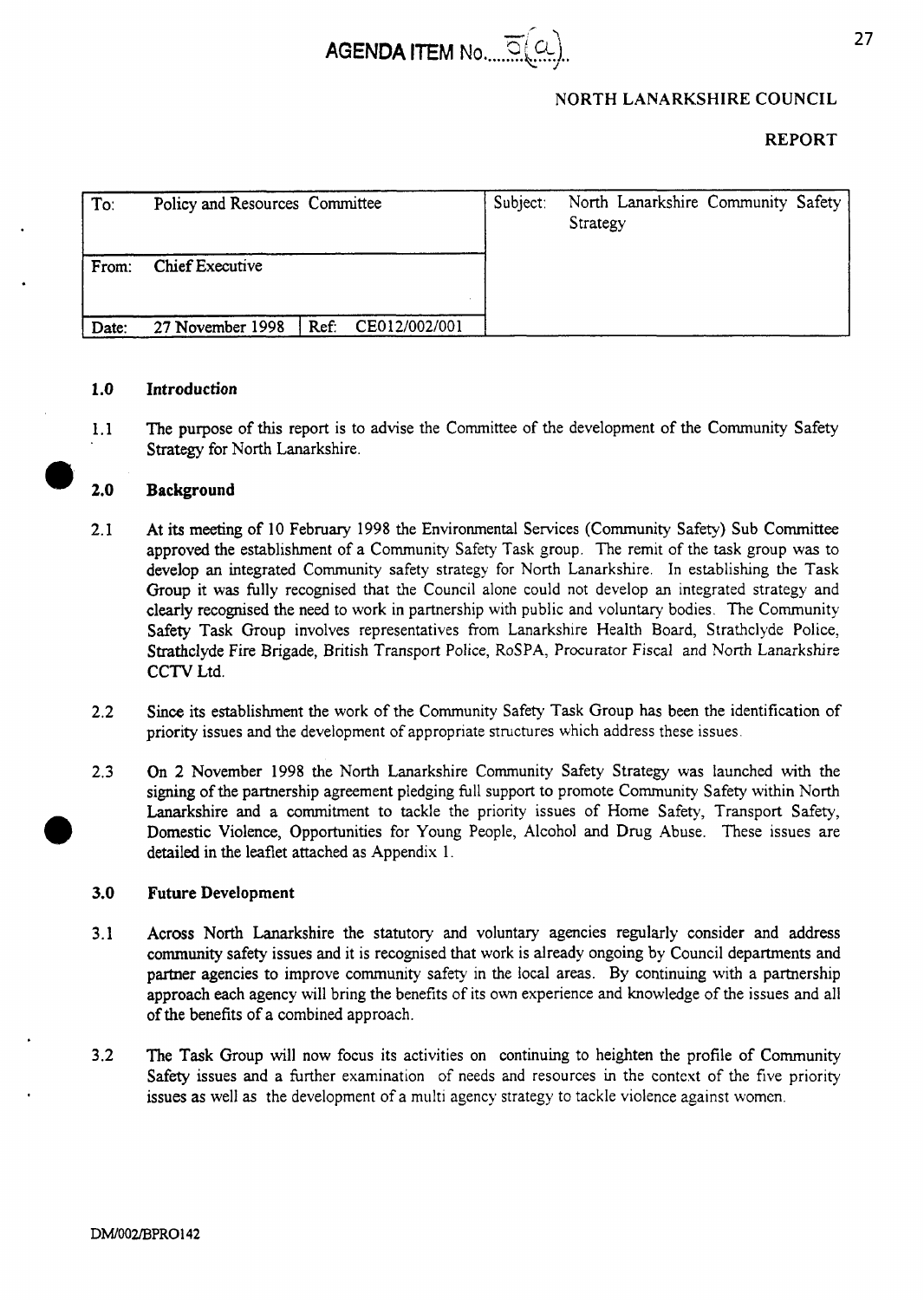

### **NORTH LANARKSHIRE COUNCIL**

### **REPORT**

| To:   | Policy and Resources Committee |                       | Subject: | North Lanarkshire Community Safety<br>Strategy |  |
|-------|--------------------------------|-----------------------|----------|------------------------------------------------|--|
| From: | <b>Chief Executive</b>         |                       |          |                                                |  |
| Date: | 27 November 1998               | CE012/002/001<br>Ref: |          |                                                |  |

### **1.0 Introduction**

1.1 The purpose of **this** report is to advise the Committee of the development of the Community Safety Strategy for North Lanarkshire.

### **2.0 Background**

- **2.1** At its meeting of 10 February 1998 the Environmental Services (Community Safety) Sub Committee approved the establishment of a Community Safety Task group. The remit of the task group was to develop an integrated Community safety strategy for North Lanarkshire. In establishing the Task Group it **was** fully recognised that the Council alone could not develop an integrated strategy and clearly recognised the need to work in partnership with public and voluntary bodies. The Community Safety Task Group involves representatives from Lanarkshire Health Board, Strathclyde Police, Strathclyde Fire Brigade, British Transport Police, ROSPA, Procurator Fiscal and North Lanarkslure CCTV Ltd.
- **2.2 Since** its establishment the work of the Community Safety Task Group has been the identification of priority issues and the development of appropriate structures which address these issues.
- **2.3** On **2** November 1998 the North Lanarkshire Community Safety Strategy was launched with the signing of the partnership agreement pledging full support to promote Community Safety within North Lanarkshire and a commitment to tackle the priority issues of Home Safety, Transport Safety, Domestic Violence, Opportunities for Young People, Alcohol and **Drug** Abuse. These issues are detailed in the leaflet attached as Appendix 1. *0*

### **3.0 Future Development**

- **3.1** Across **North** Lanarkshire the statutory and voluntary agencies regularly consider and address community safety issues and it is recognised that work is already ongoing by Council departments and partner agencies to improve community safety in the local areas. By continuing with a partnership approach each agency will bring the benefits of its own experience and knowledge of the issues and all of the benefits of a combined approach.
- The **Task** Group will now focus its activities on continuing to heighten the profile of Community Safety issues and a further examination of needs and resources in the context of the five priority issues as well as the development of a multi agency strategy to tackle violence against womcn. **3.2**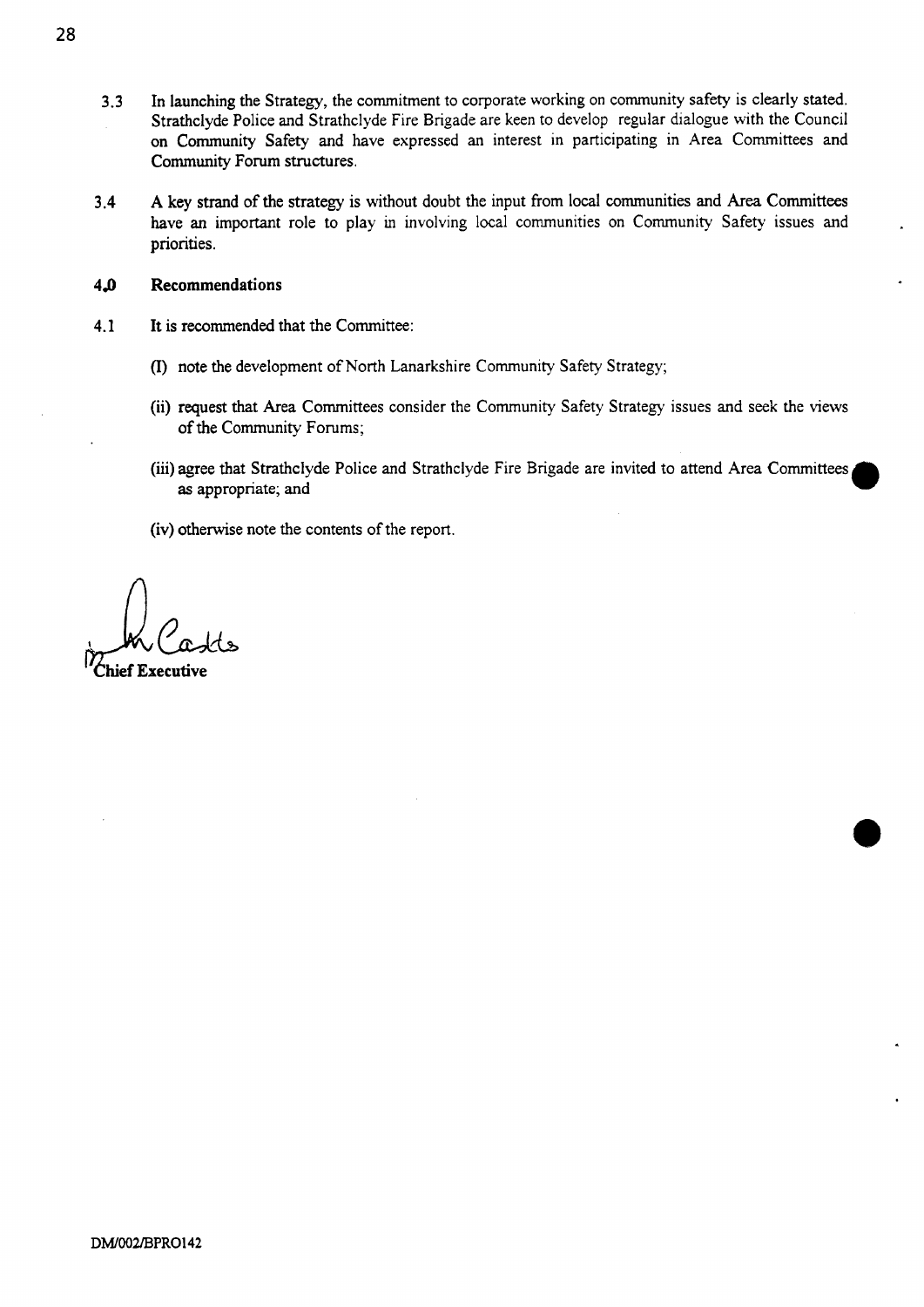- **3.3**  In launching the Strategy, the commitment to corporate working on community safety is clearly stated. Strathclyde Police and Strathclyde Fire Brigade are keen to develop regular dialogue with the Council on Community Safety and have expressed an interest in participating in Area Committees and Community **Forum** structures.
- **3.4 A** key strand of the strategy is without doubt the input from local communities and *Area* Committees have an important role to play in involving local communities on Community Safety issues and priorities.
- **4a Recommendations**
- **4.1 It** is recommended that the Committee:
	- (I) note the development of North Lanarkshire Community Safety Strategy;
	- **(ii)** request that Area Committees consider the Community Safety Strategy issues and seek the views of the Community **Forums;**
	- (iii) agree that Strathclyde Police and Strathclyde Fire Brigade are invited to attend Area Committees **as** appropriate; and

**(iv)** otherwise note the contents of the report.

*n*   $\bigwedge_{\text{Chief Exercise}}$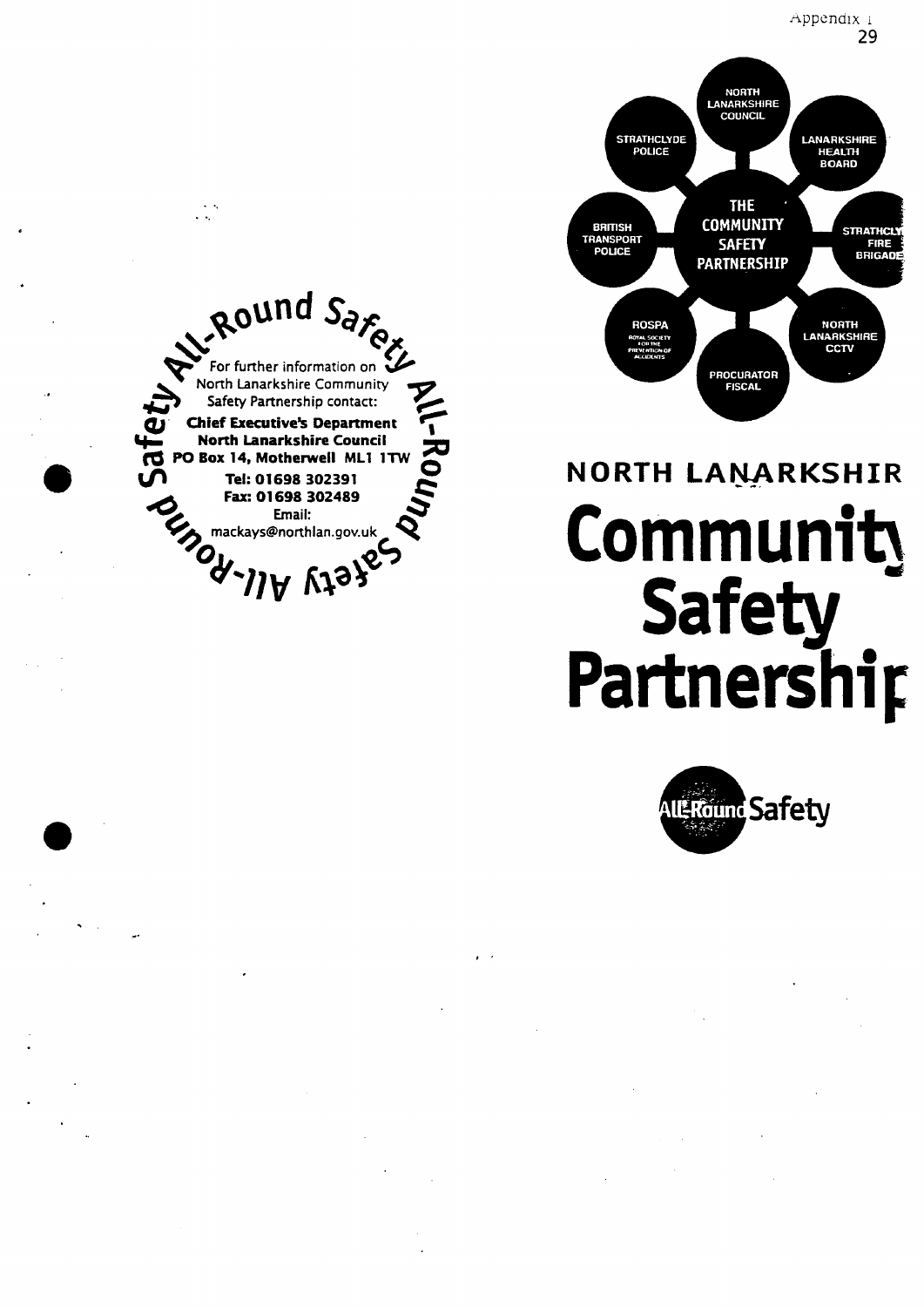

 $\ddot{\phantom{a}}$ 



# NORTH LANARKSHIR Community Safety<br>Partnership